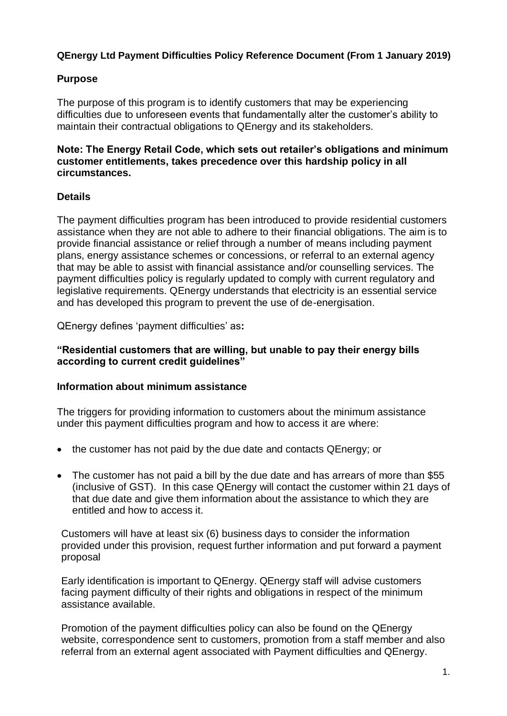# **QEnergy Ltd Payment Difficulties Policy Reference Document (From 1 January 2019)**

### **Purpose**

The purpose of this program is to identify customers that may be experiencing difficulties due to unforeseen events that fundamentally alter the customer's ability to maintain their contractual obligations to QEnergy and its stakeholders.

### **Note: The Energy Retail Code, which sets out retailer's obligations and minimum customer entitlements, takes precedence over this hardship policy in all circumstances.**

### **Details**

The payment difficulties program has been introduced to provide residential customers assistance when they are not able to adhere to their financial obligations. The aim is to provide financial assistance or relief through a number of means including payment plans, energy assistance schemes or concessions, or referral to an external agency that may be able to assist with financial assistance and/or counselling services. The payment difficulties policy is regularly updated to comply with current regulatory and legislative requirements. QEnergy understands that electricity is an essential service and has developed this program to prevent the use of de-energisation.

QEnergy defines 'payment difficulties' as**:**

### **"Residential customers that are willing, but unable to pay their energy bills according to current credit guidelines"**

### **Information about minimum assistance**

The triggers for providing information to customers about the minimum assistance under this payment difficulties program and how to access it are where:

- the customer has not paid by the due date and contacts QEnergy; or
- The customer has not paid a bill by the due date and has arrears of more than \$55 (inclusive of GST). In this case QEnergy will contact the customer within 21 days of that due date and give them information about the assistance to which they are entitled and how to access it.

Customers will have at least six (6) business days to consider the information provided under this provision, request further information and put forward a payment proposal

Early identification is important to QEnergy. QEnergy staff will advise customers facing payment difficulty of their rights and obligations in respect of the minimum assistance available.

Promotion of the payment difficulties policy can also be found on the QEnergy website, correspondence sent to customers, promotion from a staff member and also referral from an external agent associated with Payment difficulties and QEnergy.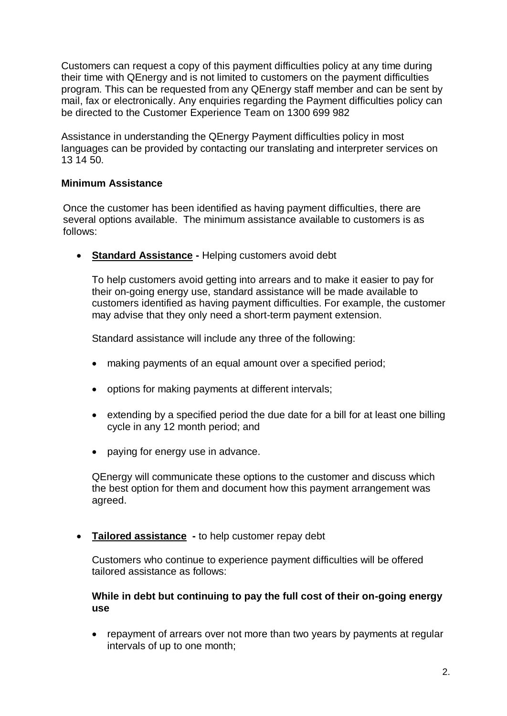Customers can request a copy of this payment difficulties policy at any time during their time with QEnergy and is not limited to customers on the payment difficulties program. This can be requested from any QEnergy staff member and can be sent by mail, fax or electronically. Any enquiries regarding the Payment difficulties policy can be directed to the Customer Experience Team on 1300 699 982

Assistance in understanding the QEnergy Payment difficulties policy in most languages can be provided by contacting our translating and interpreter services on 13 14 50.

#### **Minimum Assistance**

Once the customer has been identified as having payment difficulties, there are several options available. The minimum assistance available to customers is as follows:

**Standard Assistance -** Helping customers avoid debt

To help customers avoid getting into arrears and to make it easier to pay for their on-going energy use, standard assistance will be made available to customers identified as having payment difficulties. For example, the customer may advise that they only need a short-term payment extension.

Standard assistance will include any three of the following:

- making payments of an equal amount over a specified period;
- options for making payments at different intervals;
- extending by a specified period the due date for a bill for at least one billing cycle in any 12 month period; and
- paying for energy use in advance.

QEnergy will communicate these options to the customer and discuss which the best option for them and document how this payment arrangement was agreed.

**Tailored assistance -** to help customer repay debt

Customers who continue to experience payment difficulties will be offered tailored assistance as follows:

#### **While in debt but continuing to pay the full cost of their on-going energy use**

• repayment of arrears over not more than two years by payments at regular intervals of up to one month;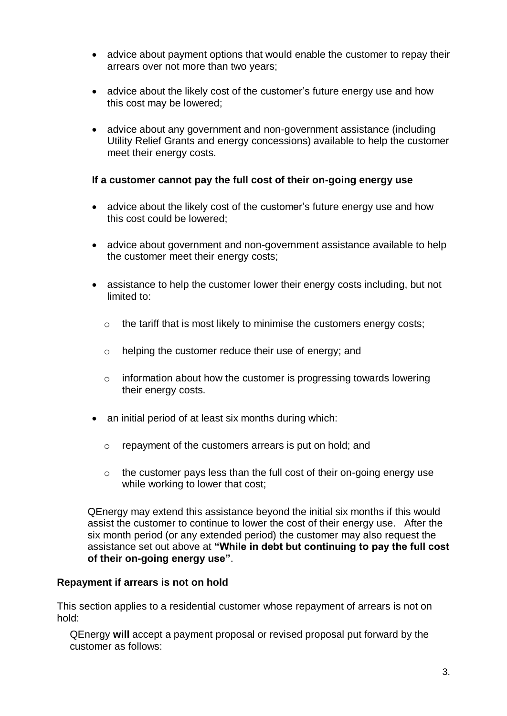- advice about payment options that would enable the customer to repay their arrears over not more than two years;
- advice about the likely cost of the customer's future energy use and how this cost may be lowered;
- advice about any government and non-government assistance (including Utility Relief Grants and energy concessions) available to help the customer meet their energy costs.

#### **If a customer cannot pay the full cost of their on-going energy use**

- advice about the likely cost of the customer's future energy use and how this cost could be lowered;
- advice about government and non-government assistance available to help the customer meet their energy costs;
- assistance to help the customer lower their energy costs including, but not limited to:
	- o the tariff that is most likely to minimise the customers energy costs;
	- o helping the customer reduce their use of energy; and
	- $\circ$  information about how the customer is progressing towards lowering their energy costs.
- an initial period of at least six months during which:
	- o repayment of the customers arrears is put on hold; and
	- $\circ$  the customer pays less than the full cost of their on-going energy use while working to lower that cost;

QEnergy may extend this assistance beyond the initial six months if this would assist the customer to continue to lower the cost of their energy use. After the six month period (or any extended period) the customer may also request the assistance set out above at **"While in debt but continuing to pay the full cost of their on-going energy use"**.

#### **Repayment if arrears is not on hold**

This section applies to a residential customer whose repayment of arrears is not on hold:

QEnergy **will** accept a payment proposal or revised proposal put forward by the customer as follows: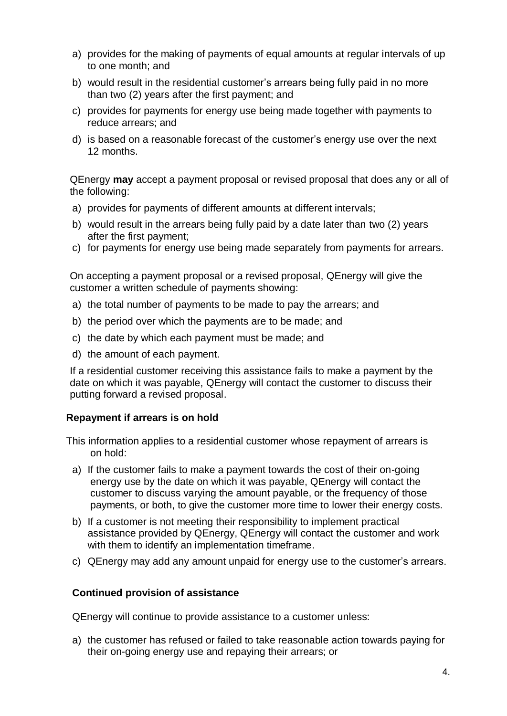- a) provides for the making of payments of equal amounts at regular intervals of up to one month; and
- b) would result in the residential customer's arrears being fully paid in no more than two (2) years after the first payment; and
- c) provides for payments for energy use being made together with payments to reduce arrears; and
- d) is based on a reasonable forecast of the customer's energy use over the next 12 months.

QEnergy **may** accept a payment proposal or revised proposal that does any or all of the following:

- a) provides for payments of different amounts at different intervals;
- b) would result in the arrears being fully paid by a date later than two (2) years after the first payment;
- c) for payments for energy use being made separately from payments for arrears.

On accepting a payment proposal or a revised proposal, QEnergy will give the customer a written schedule of payments showing:

- a) the total number of payments to be made to pay the arrears; and
- b) the period over which the payments are to be made; and
- c) the date by which each payment must be made; and
- d) the amount of each payment.

If a residential customer receiving this assistance fails to make a payment by the date on which it was payable, QEnergy will contact the customer to discuss their putting forward a revised proposal.

#### **Repayment if arrears is on hold**

This information applies to a residential customer whose repayment of arrears is on hold:

- a) If the customer fails to make a payment towards the cost of their on-going energy use by the date on which it was payable, QEnergy will contact the customer to discuss varying the amount payable, or the frequency of those payments, or both, to give the customer more time to lower their energy costs.
- b) If a customer is not meeting their responsibility to implement practical assistance provided by QEnergy, QEnergy will contact the customer and work with them to identify an implementation timeframe.
- c) QEnergy may add any amount unpaid for energy use to the customer's arrears.

#### **Continued provision of assistance**

QEnergy will continue to provide assistance to a customer unless:

a) the customer has refused or failed to take reasonable action towards paying for their on-going energy use and repaying their arrears; or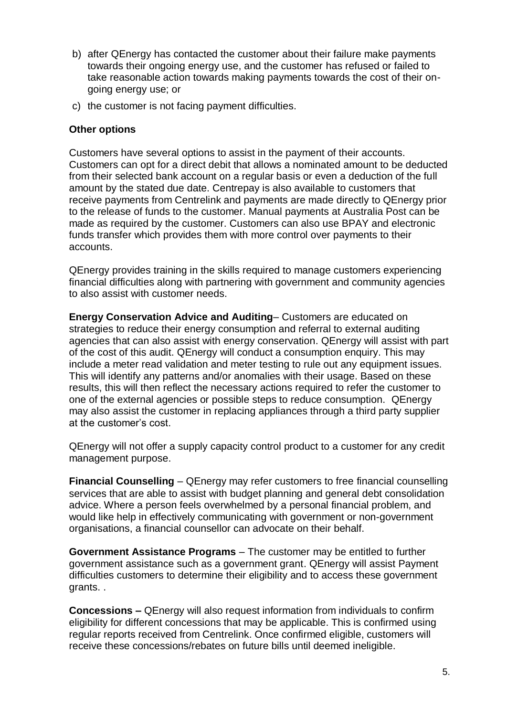- b) after QEnergy has contacted the customer about their failure make payments towards their ongoing energy use, and the customer has refused or failed to take reasonable action towards making payments towards the cost of their ongoing energy use; or
- c) the customer is not facing payment difficulties.

### **Other options**

Customers have several options to assist in the payment of their accounts. Customers can opt for a direct debit that allows a nominated amount to be deducted from their selected bank account on a regular basis or even a deduction of the full amount by the stated due date. Centrepay is also available to customers that receive payments from Centrelink and payments are made directly to QEnergy prior to the release of funds to the customer. Manual payments at Australia Post can be made as required by the customer. Customers can also use BPAY and electronic funds transfer which provides them with more control over payments to their accounts.

QEnergy provides training in the skills required to manage customers experiencing financial difficulties along with partnering with government and community agencies to also assist with customer needs.

**Energy Conservation Advice and Auditing**– Customers are educated on strategies to reduce their energy consumption and referral to external auditing agencies that can also assist with energy conservation. QEnergy will assist with part of the cost of this audit. QEnergy will conduct a consumption enquiry. This may include a meter read validation and meter testing to rule out any equipment issues. This will identify any patterns and/or anomalies with their usage. Based on these results, this will then reflect the necessary actions required to refer the customer to one of the external agencies or possible steps to reduce consumption. QEnergy may also assist the customer in replacing appliances through a third party supplier at the customer's cost.

QEnergy will not offer a supply capacity control product to a customer for any credit management purpose.

**Financial Counselling** – QEnergy may refer customers to free financial counselling services that are able to assist with budget planning and general debt consolidation advice. Where a person feels overwhelmed by a personal financial problem, and would like help in effectively communicating with government or non-government organisations, a financial counsellor can advocate on their behalf.

**Government Assistance Programs** – The customer may be entitled to further government assistance such as a government grant. QEnergy will assist Payment difficulties customers to determine their eligibility and to access these government grants. .

**Concessions –** QEnergy will also request information from individuals to confirm eligibility for different concessions that may be applicable. This is confirmed using regular reports received from Centrelink. Once confirmed eligible, customers will receive these concessions/rebates on future bills until deemed ineligible.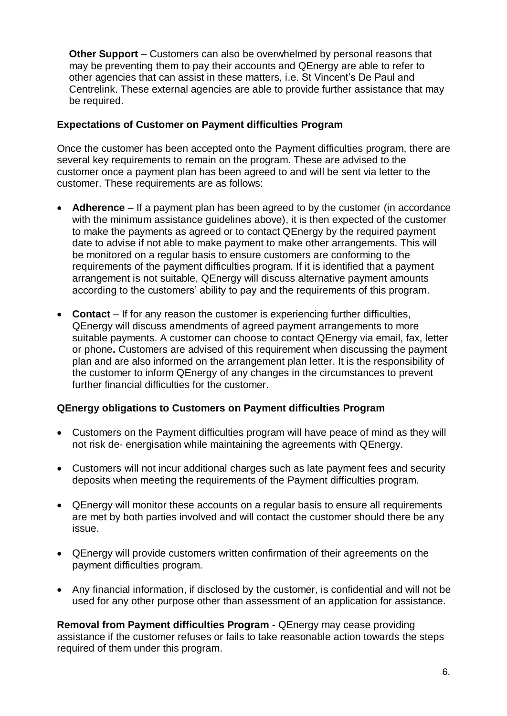**Other Support** – Customers can also be overwhelmed by personal reasons that may be preventing them to pay their accounts and QEnergy are able to refer to other agencies that can assist in these matters, i.e. St Vincent's De Paul and Centrelink. These external agencies are able to provide further assistance that may be required.

### **Expectations of Customer on Payment difficulties Program**

Once the customer has been accepted onto the Payment difficulties program, there are several key requirements to remain on the program. These are advised to the customer once a payment plan has been agreed to and will be sent via letter to the customer. These requirements are as follows:

- **Adherence**  If a payment plan has been agreed to by the customer (in accordance with the minimum assistance guidelines above), it is then expected of the customer to make the payments as agreed or to contact QEnergy by the required payment date to advise if not able to make payment to make other arrangements. This will be monitored on a regular basis to ensure customers are conforming to the requirements of the payment difficulties program. If it is identified that a payment arrangement is not suitable, QEnergy will discuss alternative payment amounts according to the customers' ability to pay and the requirements of this program.
- **Contact**  If for any reason the customer is experiencing further difficulties, QEnergy will discuss amendments of agreed payment arrangements to more suitable payments. A customer can choose to contact QEnergy via email, fax, letter or phone**.** Customers are advised of this requirement when discussing the payment plan and are also informed on the arrangement plan letter. It is the responsibility of the customer to inform QEnergy of any changes in the circumstances to prevent further financial difficulties for the customer.

## **QEnergy obligations to Customers on Payment difficulties Program**

- Customers on the Payment difficulties program will have peace of mind as they will not risk de- energisation while maintaining the agreements with QEnergy.
- Customers will not incur additional charges such as late payment fees and security deposits when meeting the requirements of the Payment difficulties program.
- QEnergy will monitor these accounts on a regular basis to ensure all requirements are met by both parties involved and will contact the customer should there be any issue.
- QEnergy will provide customers written confirmation of their agreements on the payment difficulties program.
- Any financial information, if disclosed by the customer, is confidential and will not be used for any other purpose other than assessment of an application for assistance.

**Removal from Payment difficulties Program -** QEnergy may cease providing assistance if the customer refuses or fails to take reasonable action towards the steps required of them under this program.